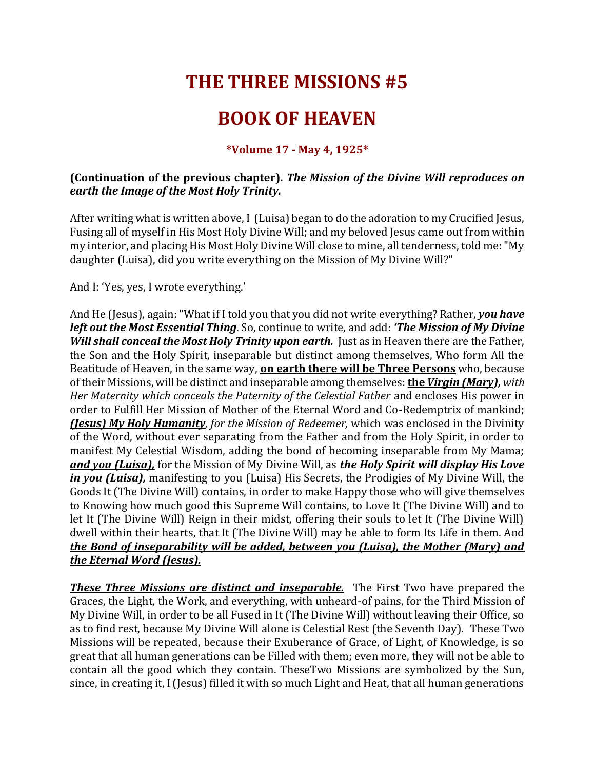## **THE THREE MISSIONS #5**

## **BOOK OF HEAVEN**

## **\*Volume 17 - May 4, 1925\***

## **(Continuation of the previous chapter).** *The Mission of the Divine Will reproduces on earth the Image of the Most Holy Trinity.*

After writing what is written above, I (Luisa) began to do the adoration to my Crucified Jesus, Fusing all of myself in His Most Holy Divine Will; and my beloved Jesus came out from within my interior, and placing His Most Holy Divine Will close to mine, all tenderness, told me: "My daughter (Luisa), did you write everything on the Mission of My Divine Will?"

And I: 'Yes, yes, I wrote everything.'

And He (Jesus), again: "What if I told you that you did not write everything? Rather, *you have left out the Most Essential Thing*. So, continue to write, and add: *'The Mission of My Divine Will shall conceal the Most Holy Trinity upon earth.* Just as in Heaven there are the Father, the Son and the Holy Spirit, inseparable but distinct among themselves, Who form All the Beatitude of Heaven, in the same way, **on earth there will be Three Persons** who, because of their Missions, will be distinct and inseparable among themselves: **the** *Virgin (Mary), with Her Maternity which conceals the Paternity of the Celestial Father* and encloses His power in order to Fulfill Her Mission of Mother of the Eternal Word and Co-Redemptrix of mankind; *(Jesus) My Holy Humanity, for the Mission of Redeemer,* which was enclosed in the Divinity of the Word, without ever separating from the Father and from the Holy Spirit, in order to manifest My Celestial Wisdom, adding the bond of becoming inseparable from My Mama; *and you (Luisa),* for the Mission of My Divine Will, as *the Holy Spirit will display His Love in you (Luisa),* manifesting to you (Luisa) His Secrets, the Prodigies of My Divine Will, the Goods It (The Divine Will) contains, in order to make Happy those who will give themselves to Knowing how much good this Supreme Will contains, to Love It (The Divine Will) and to let It (The Divine Will) Reign in their midst, offering their souls to let It (The Divine Will) dwell within their hearts, that It (The Divine Will) may be able to form Its Life in them. And *the Bond of inseparability will be added, between you (Luisa), the Mother (Mary) and the Eternal Word (Jesus).*

*These Three Missions are distinct and inseparable.* The First Two have prepared the Graces, the Light, the Work, and everything, with unheard-of pains, for the Third Mission of My Divine Will, in order to be all Fused in It (The Divine Will) without leaving their Office, so as to find rest, because My Divine Will alone is Celestial Rest (the Seventh Day). These Two Missions will be repeated, because their Exuberance of Grace, of Light, of Knowledge, is so great that all human generations can be Filled with them; even more, they will not be able to contain all the good which they contain. TheseTwo Missions are symbolized by the Sun, since, in creating it, I (Jesus) filled it with so much Light and Heat, that all human generations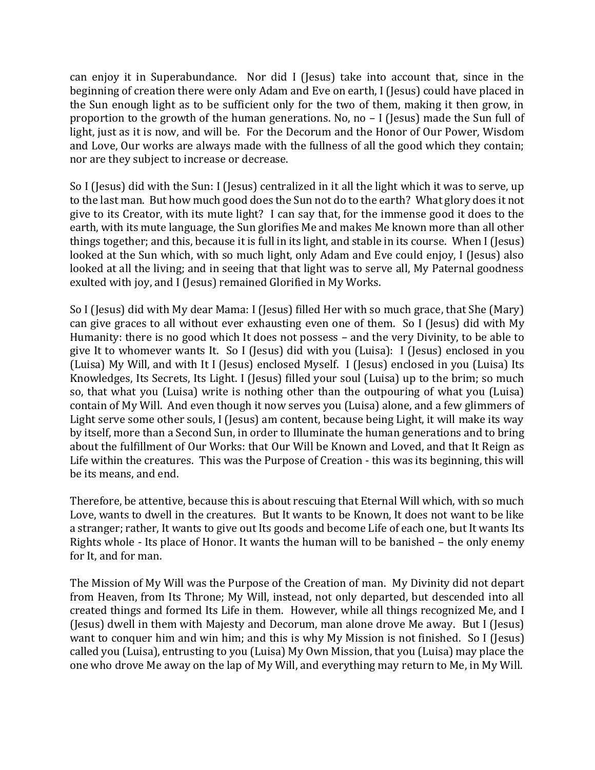can enjoy it in Superabundance. Nor did I (Jesus) take into account that, since in the beginning of creation there were only Adam and Eve on earth, I (Jesus) could have placed in the Sun enough light as to be sufficient only for the two of them, making it then grow, in proportion to the growth of the human generations. No, no – I (Jesus) made the Sun full of light, just as it is now, and will be. For the Decorum and the Honor of Our Power, Wisdom and Love, Our works are always made with the fullness of all the good which they contain; nor are they subject to increase or decrease.

So I (Jesus) did with the Sun: I (Jesus) centralized in it all the light which it was to serve, up to the last man. But how much good does the Sun not do to the earth? What glory does it not give to its Creator, with its mute light? I can say that, for the immense good it does to the earth, with its mute language, the Sun glorifies Me and makes Me known more than all other things together; and this, because it is full in its light, and stable in its course. When I (Jesus) looked at the Sun which, with so much light, only Adam and Eve could enjoy, I (Jesus) also looked at all the living; and in seeing that that light was to serve all, My Paternal goodness exulted with joy, and I (Jesus) remained Glorified in My Works.

So I (Jesus) did with My dear Mama: I (Jesus) filled Her with so much grace, that She (Mary) can give graces to all without ever exhausting even one of them. So I (Jesus) did with My Humanity: there is no good which It does not possess – and the very Divinity, to be able to give It to whomever wants It. So I (Jesus) did with you (Luisa): I (Jesus) enclosed in you (Luisa) My Will, and with It I (Jesus) enclosed Myself. I (Jesus) enclosed in you (Luisa) Its Knowledges, Its Secrets, Its Light. I (Jesus) filled your soul (Luisa) up to the brim; so much so, that what you (Luisa) write is nothing other than the outpouring of what you (Luisa) contain of My Will. And even though it now serves you (Luisa) alone, and a few glimmers of Light serve some other souls, I (Jesus) am content, because being Light, it will make its way by itself, more than a Second Sun, in order to Illuminate the human generations and to bring about the fulfillment of Our Works: that Our Will be Known and Loved, and that It Reign as Life within the creatures. This was the Purpose of Creation - this was its beginning, this will be its means, and end.

Therefore, be attentive, because this is about rescuing that Eternal Will which, with so much Love, wants to dwell in the creatures. But It wants to be Known, It does not want to be like a stranger; rather, It wants to give out Its goods and become Life of each one, but It wants Its Rights whole - Its place of Honor. It wants the human will to be banished – the only enemy for It, and for man.

The Mission of My Will was the Purpose of the Creation of man. My Divinity did not depart from Heaven, from Its Throne; My Will, instead, not only departed, but descended into all created things and formed Its Life in them. However, while all things recognized Me, and I (Jesus) dwell in them with Majesty and Decorum, man alone drove Me away. But I (Jesus) want to conquer him and win him; and this is why My Mission is not finished. So I (Jesus) called you (Luisa), entrusting to you (Luisa) My Own Mission, that you (Luisa) may place the one who drove Me away on the lap of My Will, and everything may return to Me, in My Will.